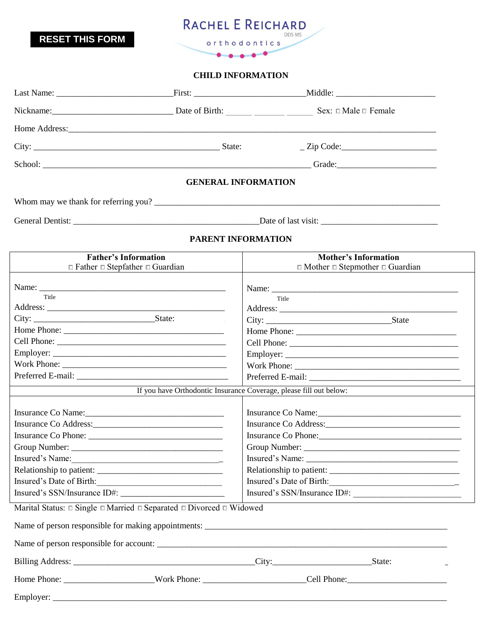

**RESET THIS FORM**

## **CHILD INFORMATION**

|                                                                                                                                                                                                                               |  |                            | $\angle$ Zip Code:                                                                                                                                                                                                            |  |  |  |
|-------------------------------------------------------------------------------------------------------------------------------------------------------------------------------------------------------------------------------|--|----------------------------|-------------------------------------------------------------------------------------------------------------------------------------------------------------------------------------------------------------------------------|--|--|--|
|                                                                                                                                                                                                                               |  |                            |                                                                                                                                                                                                                               |  |  |  |
|                                                                                                                                                                                                                               |  | <b>GENERAL INFORMATION</b> |                                                                                                                                                                                                                               |  |  |  |
| Whom may we thank for referring you?                                                                                                                                                                                          |  |                            |                                                                                                                                                                                                                               |  |  |  |
|                                                                                                                                                                                                                               |  |                            |                                                                                                                                                                                                                               |  |  |  |
|                                                                                                                                                                                                                               |  | PARENT INFORMATION         |                                                                                                                                                                                                                               |  |  |  |
| <b>Father's Information</b><br>$\Box$ Father $\Box$ Stepfather $\Box$ Guardian                                                                                                                                                |  |                            | <b>Mother's Information</b><br>$\Box$ Mother $\Box$ Stepmother $\Box$ Guardian                                                                                                                                                |  |  |  |
| Name:                                                                                                                                                                                                                         |  |                            |                                                                                                                                                                                                                               |  |  |  |
| Title                                                                                                                                                                                                                         |  | Title                      |                                                                                                                                                                                                                               |  |  |  |
|                                                                                                                                                                                                                               |  |                            |                                                                                                                                                                                                                               |  |  |  |
|                                                                                                                                                                                                                               |  |                            |                                                                                                                                                                                                                               |  |  |  |
|                                                                                                                                                                                                                               |  |                            |                                                                                                                                                                                                                               |  |  |  |
| Work Phone:                                                                                                                                                                                                                   |  |                            |                                                                                                                                                                                                                               |  |  |  |
|                                                                                                                                                                                                                               |  |                            |                                                                                                                                                                                                                               |  |  |  |
| <u> 1989 - Johann Barnett, fransk politik (d. 19</u>                                                                                                                                                                          |  |                            | If you have Orthodontic Insurance Coverage, please fill out below:                                                                                                                                                            |  |  |  |
|                                                                                                                                                                                                                               |  |                            |                                                                                                                                                                                                                               |  |  |  |
| Insurance Co Name: 1988 and 1988 and 1988 and 1988 and 1988 and 1988 and 1988 and 1988 and 1988 and 1988 and 1988 and 1988 and 1988 and 1988 and 1988 and 1988 and 1988 and 1988 and 1988 and 1988 and 1988 and 1988 and 1988 |  |                            | Insurance Co Name: 1988 and 1988 and 1988 and 1988 and 1988 and 1988 and 1988 and 1988 and 1988 and 1988 and 1988 and 1988 and 1988 and 1988 and 1988 and 1988 and 1988 and 1988 and 1988 and 1988 and 1988 and 1988 and 1988 |  |  |  |
|                                                                                                                                                                                                                               |  |                            |                                                                                                                                                                                                                               |  |  |  |
|                                                                                                                                                                                                                               |  | Insurance Co Phone:        |                                                                                                                                                                                                                               |  |  |  |
|                                                                                                                                                                                                                               |  |                            |                                                                                                                                                                                                                               |  |  |  |
| Insured's Name:                                                                                                                                                                                                               |  |                            |                                                                                                                                                                                                                               |  |  |  |
| Relationship to patient:                                                                                                                                                                                                      |  | Relationship to patient:   |                                                                                                                                                                                                                               |  |  |  |
| Insured's Date of Birth:                                                                                                                                                                                                      |  | Insured's Date of Birth:   |                                                                                                                                                                                                                               |  |  |  |
|                                                                                                                                                                                                                               |  |                            | Insured's SSN/Insurance ID#:                                                                                                                                                                                                  |  |  |  |
| Marital Status: $\square$ Single $\square$ Married $\square$ Separated $\square$ Divorced $\square$ Widowed                                                                                                                   |  |                            |                                                                                                                                                                                                                               |  |  |  |
|                                                                                                                                                                                                                               |  |                            |                                                                                                                                                                                                                               |  |  |  |
|                                                                                                                                                                                                                               |  |                            |                                                                                                                                                                                                                               |  |  |  |
|                                                                                                                                                                                                                               |  |                            |                                                                                                                                                                                                                               |  |  |  |
|                                                                                                                                                                                                                               |  |                            |                                                                                                                                                                                                                               |  |  |  |
|                                                                                                                                                                                                                               |  |                            |                                                                                                                                                                                                                               |  |  |  |